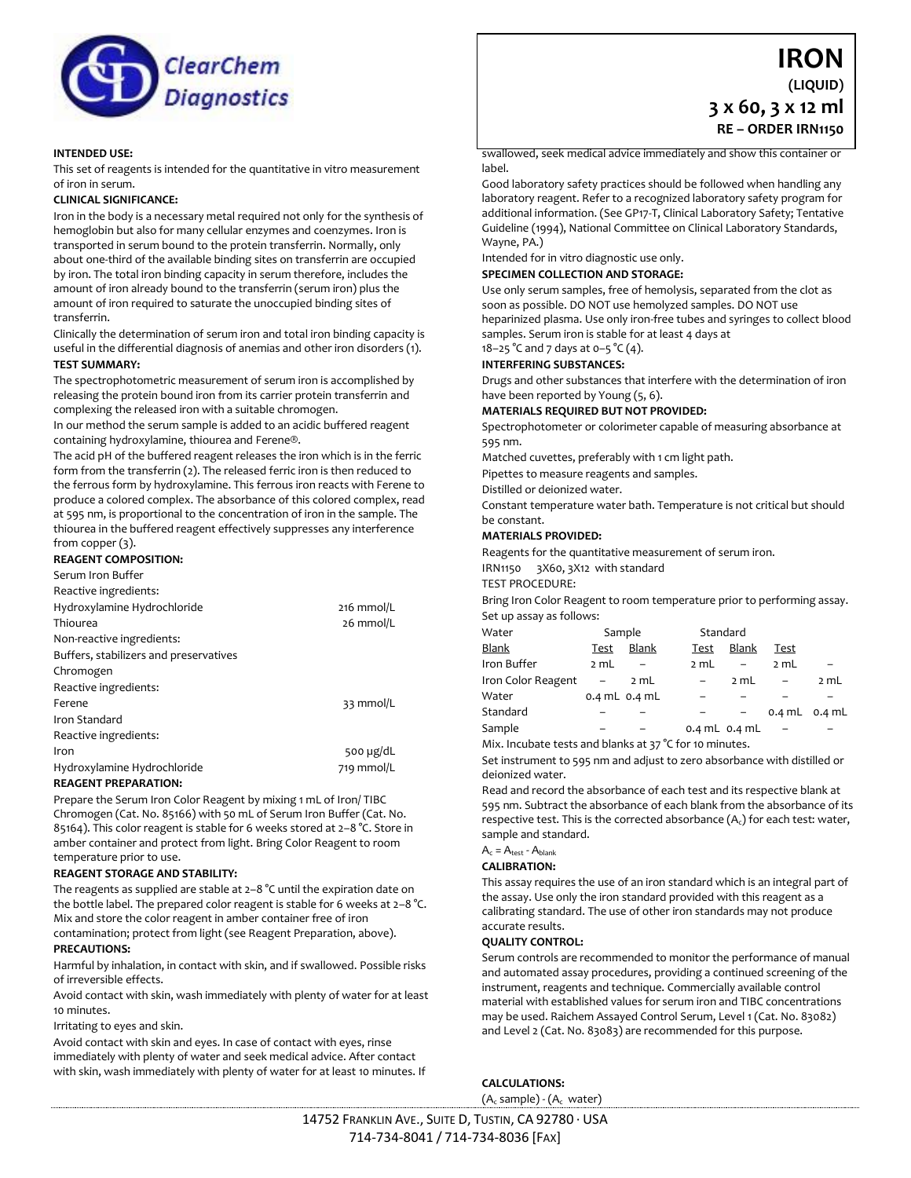

### **INTENDED USE:**

This set of reagents is intended for the quantitative in vitro measurement of iron in serum.

### **CLINICAL SIGNIFICANCE:**

Iron in the body is a necessary metal required not only for the synthesis of hemoglobin but also for many cellular enzymes and coenzymes. Iron is transported in serum bound to the protein transferrin. Normally, only about one-third of the available binding sites on transferrin are occupied by iron. The total iron binding capacity in serum therefore, includes the amount of iron already bound to the transferrin (serum iron) plus the amount of iron required to saturate the unoccupied binding sites of transferrin.

Clinically the determination of serum iron and total iron binding capacity is useful in the differential diagnosis of anemias and other iron disorders (1). **TEST SUMMARY:**

The spectrophotometric measurement of serum iron is accomplished by releasing the protein bound iron from its carrier protein transferrin and complexing the released iron with a suitable chromogen.

In our method the serum sample is added to an acidic buffered reagent containing hydroxylamine, thiourea and Ferene®.

The acid pH of the buffered reagent releases the iron which is in the ferric form from the transferrin (2). The released ferric iron is then reduced to the ferrous form by hydroxylamine. This ferrous iron reacts with Ferene to produce a colored complex. The absorbance of this colored complex, read at 595 nm, is proportional to the concentration of iron in the sample. The thiourea in the buffered reagent effectively suppresses any interference from copper (3).

## **REAGENT COMPOSITION:**

Serum Iron Buffer

| Reactive ingredients:                  |                |
|----------------------------------------|----------------|
| Hydroxylamine Hydrochloride            | 216 mmol/L     |
| Thiourea                               | 26 mmol/L      |
| Non-reactive ingredients:              |                |
| Buffers, stabilizers and preservatives |                |
| Chromogen                              |                |
| Reactive ingredients:                  |                |
| Ferene                                 | 33 mmol/L      |
| Iron Standard                          |                |
| Reactive ingredients:                  |                |
| Iron                                   | 500 $\mu$ g/dL |
| Hydroxylamine Hydrochloride            | 719 mmol/L     |
| <b>REAGENT PREPARATION:</b>            |                |

Prepare the Serum Iron Color Reagent by mixing 1 mL of Iron/ TIBC Chromogen (Cat. No. 85166) with 50 mL of Serum Iron Buffer (Cat. No. 85164). This color reagent is stable for 6 weeks stored at 2–8 °C. Store in amber container and protect from light. Bring Color Reagent to room

# temperature prior to use.

#### **REAGENT STORAGE AND STABILITY:**

The reagents as supplied are stable at 2–8 °C until the expiration date on the bottle label. The prepared color reagent is stable for 6 weeks at 2–8 °C. Mix and store the color reagent in amber container free of iron contamination; protect from light (see Reagent Preparation, above).

#### **PRECAUTIONS:**

Harmful by inhalation, in contact with skin, and if swallowed. Possible risks of irreversible effects.

Avoid contact with skin, wash immediately with plenty of water for at least 10 minutes.

Irritating to eyes and skin.

Avoid contact with skin and eyes. In case of contact with eyes, rinse immediately with plenty of water and seek medical advice. After contact with skin, wash immediately with plenty of water for at least 10 minutes. If

**IRON (LIQUID) 3 x 60, 3 x 12 ml RE – ORDER IRN1150**

swallowed, seek medical advice immediately and show this container or label.

Good laboratory safety practices should be followed when handling any laboratory reagent. Refer to a recognized laboratory safety program for additional information. (See GP17-T, Clinical Laboratory Safety; Tentative Guideline (1994), National Committee on Clinical Laboratory Standards, Wayne, PA.)

Intended for in vitro diagnostic use only.

### **SPECIMEN COLLECTION AND STORAGE:**

Use only serum samples, free of hemolysis, separated from the clot as soon as possible. DO NOT use hemolyzed samples. DO NOT use heparinized plasma. Use only iron-free tubes and syringes to collect blood samples. Serum iron is stable for at least 4 days at

## 18–25 °C and 7 days at 0–5 °C (4).

**INTERFERING SUBSTANCES:**

Drugs and other substances that interfere with the determination of iron have been reported by Young (5, 6).

**MATERIALS REQUIRED BUT NOT PROVIDED:**

Spectrophotometer or colorimeter capable of measuring absorbance at 595 nm.

Matched cuvettes, preferably with 1 cm light path.

Pipettes to measure reagents and samples.

Distilled or deionized water.

Constant temperature water bath. Temperature is not critical but should be constant.

## **MATERIALS PROVIDED:**

Reagents for the quantitative measurement of serum iron.

IRN1150 3X60, 3X12 with standard

TEST PROCEDURE:

Bring Iron Color Reagent to room temperature prior to performing assay. Set up assay as follows:

| Water              |      | Sample            |                   | Standard |      |                   |
|--------------------|------|-------------------|-------------------|----------|------|-------------------|
| <b>Blank</b>       | Test | <b>Blank</b>      | Test              | Blank    | Test |                   |
| Iron Buffer        | 2 mL |                   | 2 mL              |          | 2 mL |                   |
| Iron Color Reagent |      | 2 mL              |                   | 2 mL     |      | 2 mL              |
| Water              |      | $0.4$ mL $0.4$ mL |                   |          |      |                   |
| Standard           |      |                   |                   |          |      | $0.4$ mL $0.4$ mL |
| Sample             |      |                   | 0.4 $mL$ 0.4 $mL$ |          |      |                   |

Mix. Incubate tests and blanks at 37 °C for 10 minutes.

Set instrument to 595 nm and adjust to zero absorbance with distilled or deionized water.

Read and record the absorbance of each test and its respective blank at 595 nm. Subtract the absorbance of each blank from the absorbance of its respective test. This is the corrected absorbance  $(A_c)$  for each test: water, sample and standard.

 $A_c = A_{test} - A_{blank}$ 

#### **CALIBRATION:**

This assay requires the use of an iron standard which is an integral part of the assay. Use only the iron standard provided with this reagent as a calibrating standard. The use of other iron standards may not produce accurate results.

### **QUALITY CONTROL:**

Serum controls are recommended to monitor the performance of manual and automated assay procedures, providing a continued screening of the instrument, reagents and technique. Commercially available control material with established values for serum iron and TIBC concentrations may be used. Raichem Assayed Control Serum, Level 1 (Cat. No. 83082) and Level 2 (Cat. No. 83083) are recommended for this purpose.

**CALCULATIONS:**

 $(A_c \text{ sample}) - (A_c \text{ water})$ 

14752 FRANKLIN AVE., SUITE D, TUSTIN, CA 92780 · USA 714-734-8041 / 714-734-8036 [FAX]